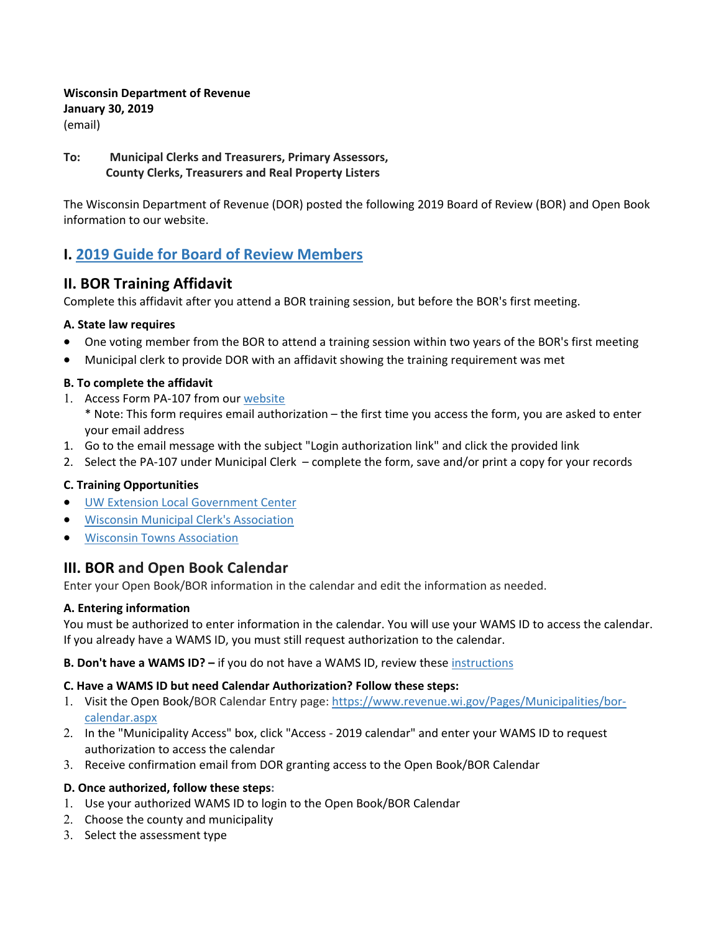### **Wisconsin Department of Revenue January 30, 2019**  (email)

## **To: Municipal Clerks and Treasurers, Primary Assessors, County Clerks, Treasurers and Real Property Listers**

The Wisconsin Department of Revenue (DOR) posted the following 2019 Board of Review (BOR) and Open Book information to our website.

# **I. 2019 Guide for Board of Review Members**

## **II. BOR Training Affidavit**

Complete this affidavit after you attend a BOR training session, but before the BOR's first meeting.

### **A. State law requires**

- One voting member from the BOR to attend a training session within two years of the BOR's first meeting
- Municipal clerk to provide DOR with an affidavit showing the training requirement was met

### **B. To complete the affidavit**

- 1. Access Form PA-107 from our website \* Note: This form requires email authorization – the first time you access the form, you are asked to enter your email address
- 1. Go to the email message with the subject "Login authorization link" and click the provided link
- 2. Select the PA-107 under Municipal Clerk complete the form, save and/or print a copy for your records

## **C. Training Opportunities**

- UW Extension Local Government Center
- Wisconsin Municipal Clerk's Association
- Wisconsin Towns Association

## **III. BOR and Open Book Calendar**

Enter your Open Book/BOR information in the calendar and edit the information as needed.

#### **A. Entering information**

You must be authorized to enter information in the calendar. You will use your WAMS ID to access the calendar. If you already have a WAMS ID, you must still request authorization to the calendar.

#### **B. Don't have a WAMS ID? –** if you do not have a WAMS ID, review these instructions

#### **C. Have a WAMS ID but need Calendar Authorization? Follow these steps:**

- 1. Visit the Open Book/BOR Calendar Entry page: https://www.revenue.wi.gov/Pages/Municipalities/borcalendar.aspx
- 2. In the "Municipality Access" box, click "Access ‐ 2019 calendar" and enter your WAMS ID to request authorization to access the calendar
- 3. Receive confirmation email from DOR granting access to the Open Book/BOR Calendar

#### **D. Once authorized, follow these steps:**

- 1. Use your authorized WAMS ID to login to the Open Book/BOR Calendar
- 2. Choose the county and municipality
- 3. Select the assessment type